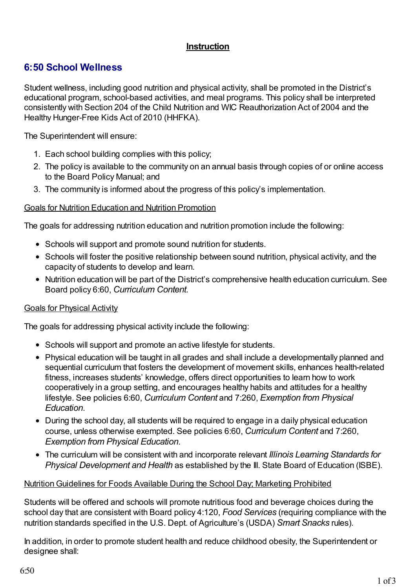# **Instruction**

# **6:50 School Wellness**

Student wellness, including good nutrition and physical activity, shall be promoted in the District's educational program, school-based activities, and meal programs. This policy shall be interpreted consistently with Section 204 of the Child Nutrition and WIC Reauthorization Act of 2004 and the Healthy Hunger-Free Kids Act of 2010 (HHFKA).

The Superintendent will ensure:

- 1. Each school building complies with this policy;
- 2. The policy is available to the community on an annual basis through copies of or online access to the Board Policy Manual; and
- 3. The community is informed about the progress of this policy's implementation.

#### Goals for Nutrition Education and Nutrition Promotion

The goals for addressing nutrition education and nutrition promotion include the following:

- Schools will support and promote sound nutrition for students.
- Schools will foster the positive relationship between sound nutrition, physical activity, and the capacity of students to develop and learn.
- Nutrition education will be part of the District's comprehensive health education curriculum. See Board policy 6:60, *Curriculum Content.*

# Goals for Physical Activity

The goals for addressing physical activity include the following:

- Schools will support and promote an active lifestyle for students.
- Physical education will be taught in all grades and shall include a developmentally planned and sequential curriculum that fosters the development of movement skills, enhances health-related fitness, increases students' knowledge, offers direct opportunities to learn how to work cooperatively in a group setting, and encourages healthy habits and attitudes for a healthy lifestyle. See policies 6:60, *Curriculum Content* and 7:260, *Exemption from Physical Education*.
- During the school day, all students will be required to engage in a daily physical education course, unless otherwise exempted. See policies 6:60, *Curriculum Content* and 7:260, *Exemption from Physical Education*.
- The curriculum will be consistent with and incorporate relevant *Illinois Learning Standards for Physical Development and Health* as established by the Ill. State Board of Education (ISBE).

#### NutritionGuidelines for Foods Available During the School Day; Marketing Prohibited

Students will be offered and schools will promote nutritious food and beverage choices during the school day that are consistent with Board policy 4:120, *Food Services* (requiring compliance with the nutrition standards specified in the U.S. Dept. of Agriculture's (USDA) *Smart Snacks* rules).

In addition, in order to promote student health and reduce childhood obesity, the Superintendent or designee shall: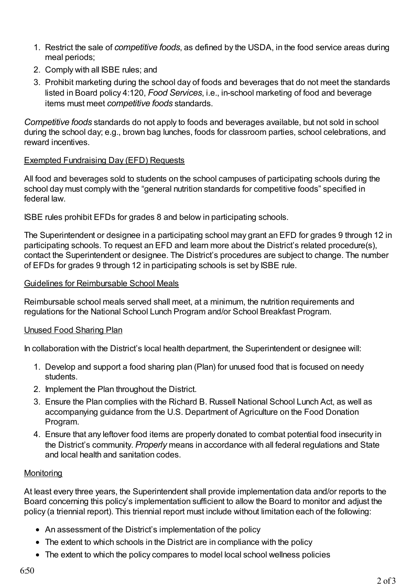- 1. Restrict the sale of *competitive foods*, as defined by the USDA, in the food service areas during meal periods;
- 2. Comply with all ISBE rules; and
- 3. Prohibit marketing during the school day of foods and beverages that do not meet the standards listed in Board policy 4:120, *Food Services*, i.e., in-school marketing of food and beverage items must meet *competitive foods* standards.

*Competitive foods* standards do not apply to foods and beverages available, but not sold in school during the school day; e.g., brown bag lunches, foods for classroom parties, school celebrations, and reward incentives.

#### Exempted Fundraising Day (EFD) Requests

All food and beverages sold to students on the school campuses of participating schools during the school day must comply with the "general nutrition standards for competitive foods" specified in federal law.

ISBE rules prohibit EFDs for grades 8 and below in participating schools.

The Superintendent or designee in a participating school may grant an EFD for grades 9 through 12 in participating schools. To request an EFD and learn more about the District's related procedure(s), contact the Superintendent or designee. The District's procedures are subject to change. The number of EFDs for grades 9 through 12 in participating schools is set by ISBE rule.

#### Guidelines for Reimbursable School Meals

Reimbursable school meals served shall meet, at a minimum, the nutrition requirements and regulations for the National School Lunch Program and/or School Breakfast Program.

# Unused Food Sharing Plan

In collaboration with the District's local health department, the Superintendent or designee will:

- 1. Develop and support a food sharing plan (Plan) for unused food that is focused on needy students.
- 2. Implement the Plan throughout the District.
- 3. Ensure the Plan complies with the Richard B. Russell National School Lunch Act, as well as accompanying guidance from the U.S. Department of Agriculture on the Food Donation Program.
- 4. Ensure that any leftover food items are properly donated to combat potential food insecurity in the District's community. *Properly* means in accordance with all federal regulations and State and local health and sanitation codes.

# **Monitoring**

At least every three years, the Superintendent shall provide implementation data and/or reports to the Board concerning this policy's implementation sufficient to allow the Board to monitor and adjust the policy (a triennial report). This triennial report must include without limitation each of the following:

- An assessment of the District's implementation of the policy
- The extent to which schools in the District are in compliance with the policy
- The extent to which the policy compares to model local school wellness policies